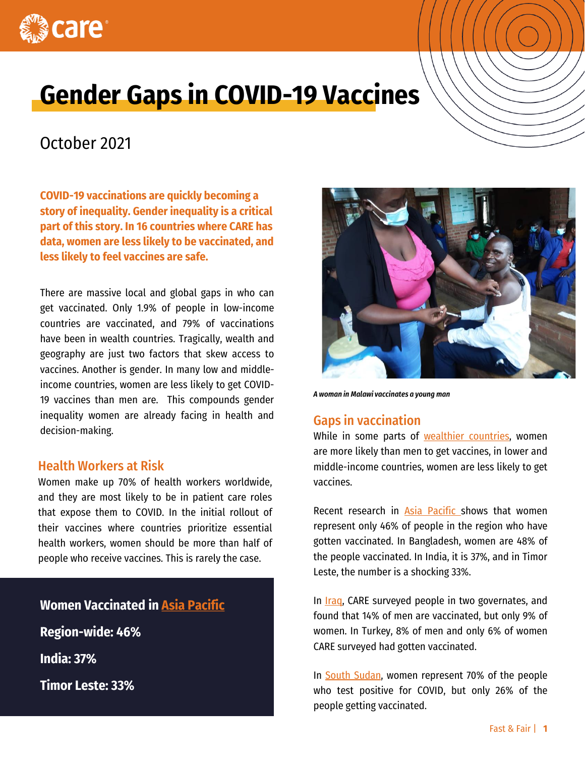

# **Gender Gaps in COVID-19 Vaccines**

# October 2021

**COVID-19 vaccinations are quickly becoming a story of inequality. Gender inequality is a critical part of this story. In 16 countries where CARE has data, women are less likely to be vaccinated, and less likely to feel vaccines are safe.**

There are massive local and global gaps in who can get vaccinated. Only 1.9% of people in low-income countries are vaccinated, and 79% of vaccinations have been in wealth countries. Tragically, wealth and geography are just two factors that skew access to vaccines. Another is gender. In many low and middleincome countries, women are less likely to get COVID-19 vaccines than men are. This compounds gender inequality women are already facing in health and decision-making.

#### Health Workers at Risk

Women make up 70% of health workers worldwide, and they are most likely to be in patient care roles that expose them to COVID. In the initial rollout of their vaccines where countries prioritize essential health workers, women should be more than half of people who receive vaccines. This is rarely the case.

### **Women Vaccinated in [Asia Pacific](http://www.careevaluations.org/evaluation/gender-and-covid-19-vaccines-listening-to-women-focused-organizations-in-asia-and-the-pacific/)**

**Region-wide: 46%**

**India: 37%** 

**Timor Leste: 33%**



*A woman in Malawi vaccinates a young man*

## Gaps in vaccination

While in some parts of wealthier [countries](https://khn.org/news/article/gender-vaccine-gap-more-women-than-men-vaccinated-against-covid/), women are more likely than men to get vaccines, in lower and middle-income countries, women are less likely to get vaccines.

Recent research in Asia [Pacific](http://www.careevaluations.org/evaluation/gender-and-covid-19-vaccines-listening-to-women-focused-organizations-in-asia-and-the-pacific/) shows that women represent only 46% of people in the region who have gotten vaccinated. In Bangladesh, women are 48% of the people vaccinated. In India, it is 37%, and in Timor Leste, the number is a shocking 33%.

In *[Iraq](http://www.careevaluations.org/evaluation/covid-19-vaccination-uptake-a-study-of-knowledge-attitudes-and-practices-of-marginalized-communities-in-iraq/)*, CARE surveyed people in two governates, and found that 14% of men are vaccinated, but only 9% of women. In Turkey, 8% of men and only 6% of women CARE surveyed had gotten vaccinated.

In South [Sudan,](http://www.careevaluations.org/evaluation/south-sudan-the-true-cost-of-covid-19-vaccines/) women represent 70% of the people who test positive for COVID, but only 26% of the people getting vaccinated.